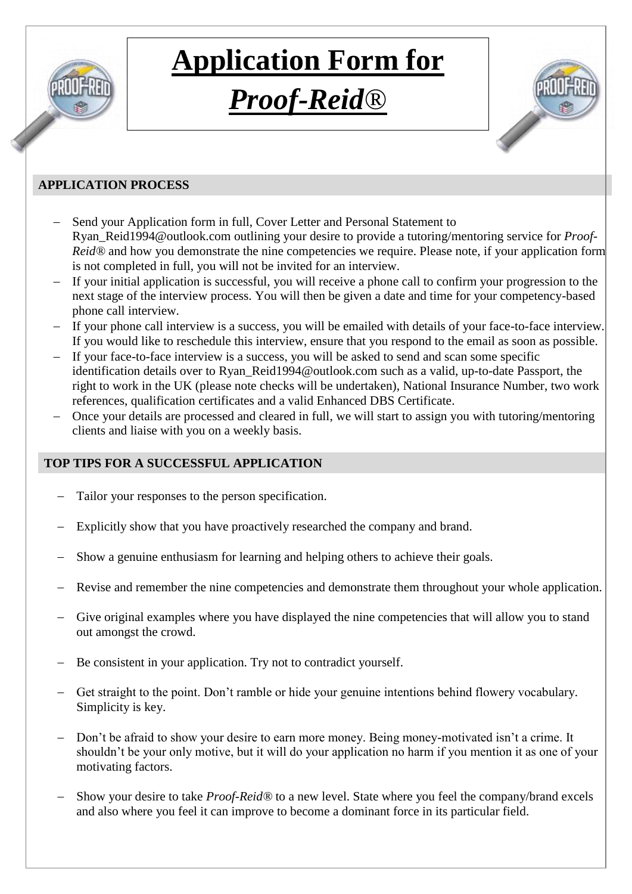

## **Application Form for**  *Proof-Reid®*

#### **APPLICATION PROCESS**

- Send your Application form in full, Cover Letter and Personal Statement to [Ryan\\_Reid1994@outlook.com](mailto:Ryan_Reid1994@outlook.com) outlining your desire to provide a tutoring/mentoring service for *Proof-Reid*<sup>®</sup> and how you demonstrate the nine competencies we require. Please note, if your application form is not completed in full, you will not be invited for an interview.
- If your initial application is successful, you will receive a phone call to confirm your progression to the next stage of the interview process. You will then be given a date and time for your competency-based phone call interview.
- If your phone call interview is a success, you will be emailed with details of your face-to-face interview. If you would like to reschedule this interview, ensure that you respond to the email as soon as possible.
- If your face-to-face interview is a success, you will be asked to send and scan some specific identification details over to [Ryan\\_Reid1994@outlook.com](mailto:Ryan_Reid1994@outlook.com) such as a valid, up-to-date Passport, the right to work in the UK (please note checks will be undertaken), National Insurance Number, two work references, qualification certificates and a valid Enhanced DBS Certificate.
- Once your details are processed and cleared in full, we will start to assign you with tutoring/mentoring clients and liaise with you on a weekly basis.

#### **TOP TIPS FOR A SUCCESSFUL APPLICATION**

- Tailor your responses to the person specification.
- Explicitly show that you have proactively researched the company and brand.
- Show a genuine enthusiasm for learning and helping others to achieve their goals.
- Revise and remember the nine competencies and demonstrate them throughout your whole application.
- Give original examples where you have displayed the nine competencies that will allow you to stand out amongst the crowd.
- Be consistent in your application. Try not to contradict yourself.
- Get straight to the point. Don't ramble or hide your genuine intentions behind flowery vocabulary. Simplicity is key.
- Don't be afraid to show your desire to earn more money. Being money-motivated isn't a crime. It shouldn't be your only motive, but it will do your application no harm if you mention it as one of your motivating factors.
- Show your desire to take *Proof-Reid®* to a new level. State where you feel the company/brand excels and also where you feel it can improve to become a dominant force in its particular field.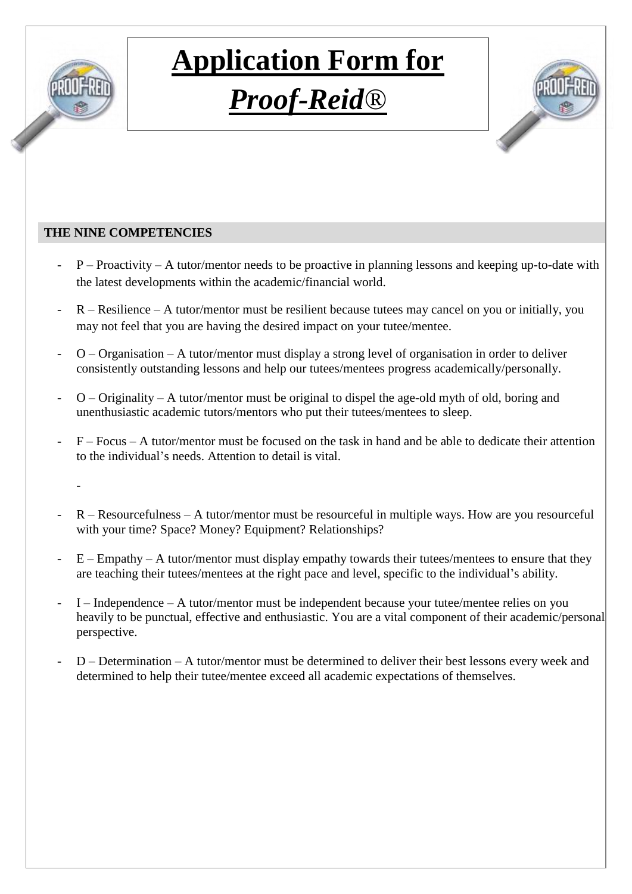

## **Application Form for**  *Proof-Reid®*



#### **THE NINE COMPETENCIES**

- $P -$  Proactivity A tutor/mentor needs to be proactive in planning lessons and keeping up-to-date with the latest developments within the academic/financial world.
- $R Resilience A tutor/mentor must be resilient because tutes may cancel on you or initially, you$ may not feel that you are having the desired impact on your tutee/mentee.
- $O -$  Organisation A tutor/mentor must display a strong level of organisation in order to deliver consistently outstanding lessons and help our tutees/mentees progress academically/personally.
- $O -$  Originality A tutor/mentor must be original to dispel the age-old myth of old, boring and unenthusiastic academic tutors/mentors who put their tutees/mentees to sleep.
- $F Focus A tutor/mentor must be focused on the task in hand and be able to dedicate their attention$ to the individual's needs. Attention to detail is vital.
	- -
- $R -$  Resourcefulness A tutor/mentor must be resourceful in multiple ways. How are you resourceful with your time? Space? Money? Equipment? Relationships?
- $E Empathy A tutor/mentor must display employs empathy towards their tutes/mentes to ensure that they$ are teaching their tutees/mentees at the right pace and level, specific to the individual's ability.
- I Independence A tutor/mentor must be independent because your tutee/mentee relies on you heavily to be punctual, effective and enthusiastic. You are a vital component of their academic/personal perspective.
- D Determination A tutor/mentor must be determined to deliver their best lessons every week and determined to help their tutee/mentee exceed all academic expectations of themselves.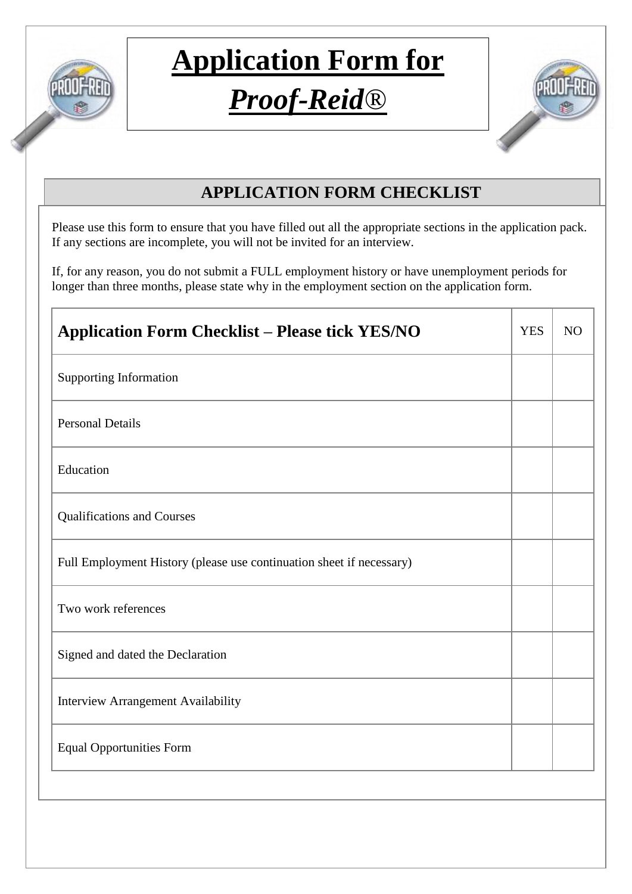

### *Proof-Reid®*



### **APPLICATION FORM CHECKLIST**

Please use this form to ensure that you have filled out all the appropriate sections in the application pack. If any sections are incomplete, you will not be invited for an interview.

If, for any reason, you do not submit a FULL employment history or have unemployment periods for longer than three months, please state why in the employment section on the application form.

| <b>Application Form Checklist - Please tick YES/NO</b>               | <b>YES</b> | N <sub>O</sub> |
|----------------------------------------------------------------------|------------|----------------|
| <b>Supporting Information</b>                                        |            |                |
| <b>Personal Details</b>                                              |            |                |
| Education                                                            |            |                |
| <b>Qualifications and Courses</b>                                    |            |                |
| Full Employment History (please use continuation sheet if necessary) |            |                |
| Two work references                                                  |            |                |
| Signed and dated the Declaration                                     |            |                |
| <b>Interview Arrangement Availability</b>                            |            |                |
| <b>Equal Opportunities Form</b>                                      |            |                |
|                                                                      |            |                |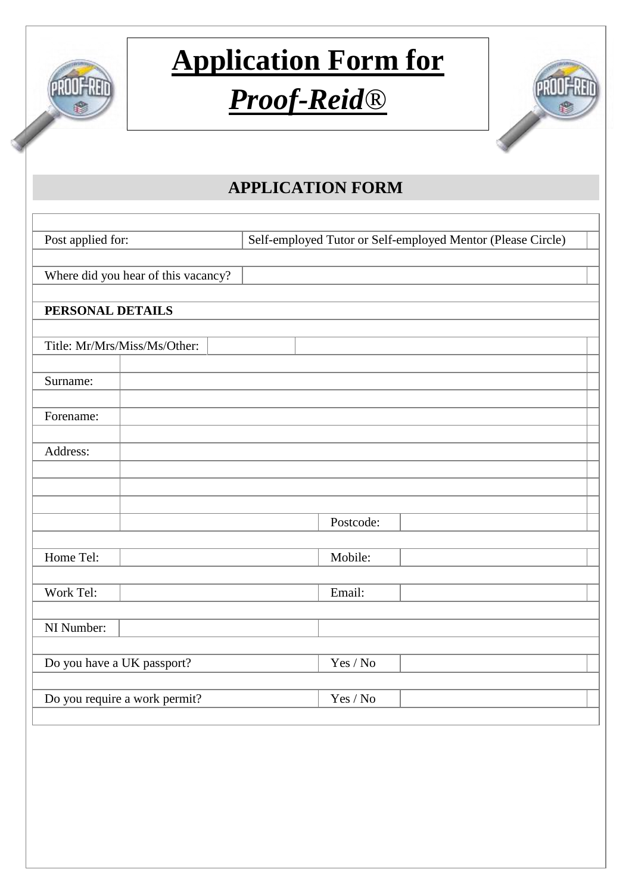

## *Proof-Reid®*



### **APPLICATION FORM**

| Post applied for:                   | Self-employed Tutor or Self-employed Mentor (Please Circle) |  |  |  |  |
|-------------------------------------|-------------------------------------------------------------|--|--|--|--|
|                                     |                                                             |  |  |  |  |
| Where did you hear of this vacancy? |                                                             |  |  |  |  |
|                                     |                                                             |  |  |  |  |
| PERSONAL DETAILS                    |                                                             |  |  |  |  |
|                                     |                                                             |  |  |  |  |
| Title: Mr/Mrs/Miss/Ms/Other:        |                                                             |  |  |  |  |
|                                     |                                                             |  |  |  |  |
| Surname:                            |                                                             |  |  |  |  |
|                                     |                                                             |  |  |  |  |
| Forename:                           |                                                             |  |  |  |  |
|                                     |                                                             |  |  |  |  |
| Address:                            |                                                             |  |  |  |  |
|                                     |                                                             |  |  |  |  |
|                                     |                                                             |  |  |  |  |
|                                     | Postcode:                                                   |  |  |  |  |
|                                     |                                                             |  |  |  |  |
| Home Tel:                           | Mobile:                                                     |  |  |  |  |
|                                     |                                                             |  |  |  |  |
| Work Tel:                           | Email:                                                      |  |  |  |  |
|                                     |                                                             |  |  |  |  |
| NI Number:                          |                                                             |  |  |  |  |
|                                     |                                                             |  |  |  |  |
| Do you have a UK passport?          | Yes / No                                                    |  |  |  |  |
|                                     |                                                             |  |  |  |  |
| Do you require a work permit?       | Yes / No                                                    |  |  |  |  |
|                                     |                                                             |  |  |  |  |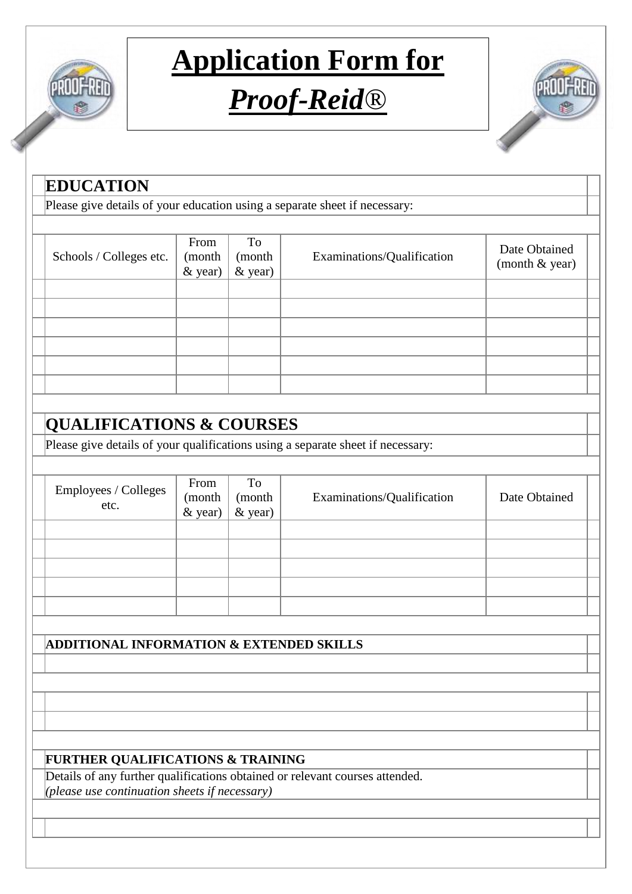

## *Proof-Reid®*



| Please give details of your education using a separate sheet if necessary:<br>Schools / Colleges etc. | From<br>(month<br>& year) | To<br>(month<br>& year) | Examinations/Qualification                                                      | Date Obtained<br>(month & year) |
|-------------------------------------------------------------------------------------------------------|---------------------------|-------------------------|---------------------------------------------------------------------------------|---------------------------------|
|                                                                                                       |                           |                         |                                                                                 |                                 |
|                                                                                                       |                           |                         |                                                                                 |                                 |
|                                                                                                       |                           |                         |                                                                                 |                                 |
|                                                                                                       |                           |                         |                                                                                 |                                 |
|                                                                                                       |                           |                         |                                                                                 |                                 |
|                                                                                                       |                           |                         |                                                                                 |                                 |
|                                                                                                       |                           |                         |                                                                                 |                                 |
|                                                                                                       |                           |                         |                                                                                 |                                 |
|                                                                                                       |                           |                         |                                                                                 |                                 |
| <b>QUALIFICATIONS &amp; COURSES</b>                                                                   |                           |                         |                                                                                 |                                 |
|                                                                                                       |                           |                         | Please give details of your qualifications using a separate sheet if necessary: |                                 |
|                                                                                                       |                           |                         |                                                                                 |                                 |
| Employees / Colleges<br>etc.                                                                          | From<br>(month<br>& year) | To<br>(month<br>& year) | Examinations/Qualification                                                      | Date Obtained                   |
|                                                                                                       |                           |                         |                                                                                 |                                 |
|                                                                                                       |                           |                         |                                                                                 |                                 |
|                                                                                                       |                           |                         |                                                                                 |                                 |
|                                                                                                       |                           |                         |                                                                                 |                                 |
|                                                                                                       |                           |                         |                                                                                 |                                 |
|                                                                                                       |                           |                         |                                                                                 |                                 |
| <b>ADDITIONAL INFORMATION &amp; EXTENDED SKILLS</b>                                                   |                           |                         |                                                                                 |                                 |
|                                                                                                       |                           |                         |                                                                                 |                                 |
|                                                                                                       |                           |                         |                                                                                 |                                 |
|                                                                                                       |                           |                         |                                                                                 |                                 |
|                                                                                                       |                           |                         |                                                                                 |                                 |
| <b>FURTHER QUALIFICATIONS &amp; TRAINING</b>                                                          |                           |                         |                                                                                 |                                 |
|                                                                                                       |                           |                         | Details of any further qualifications obtained or relevant courses attended.    |                                 |
| (please use continuation sheets if necessary)                                                         |                           |                         |                                                                                 |                                 |
|                                                                                                       |                           |                         |                                                                                 |                                 |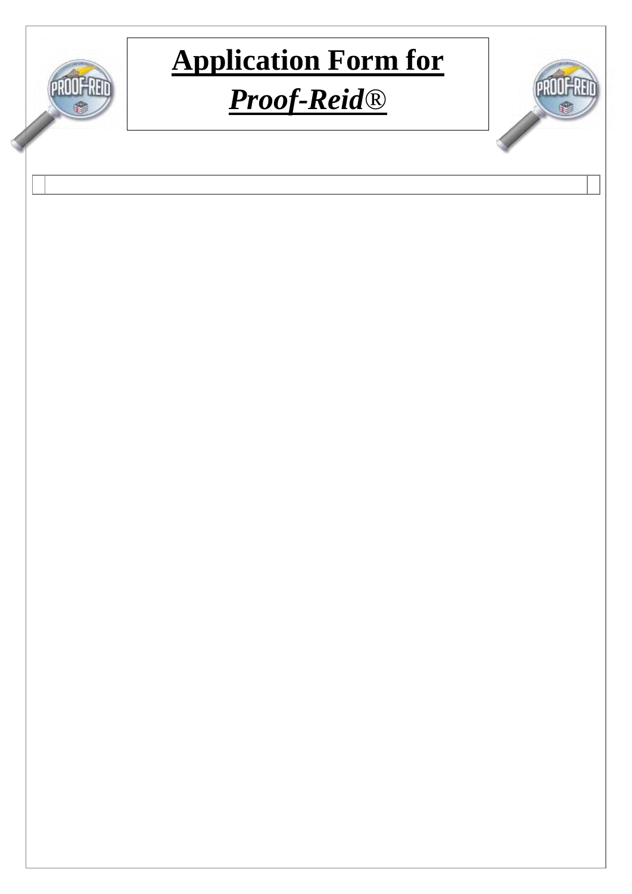

## *Proof-Reid®*

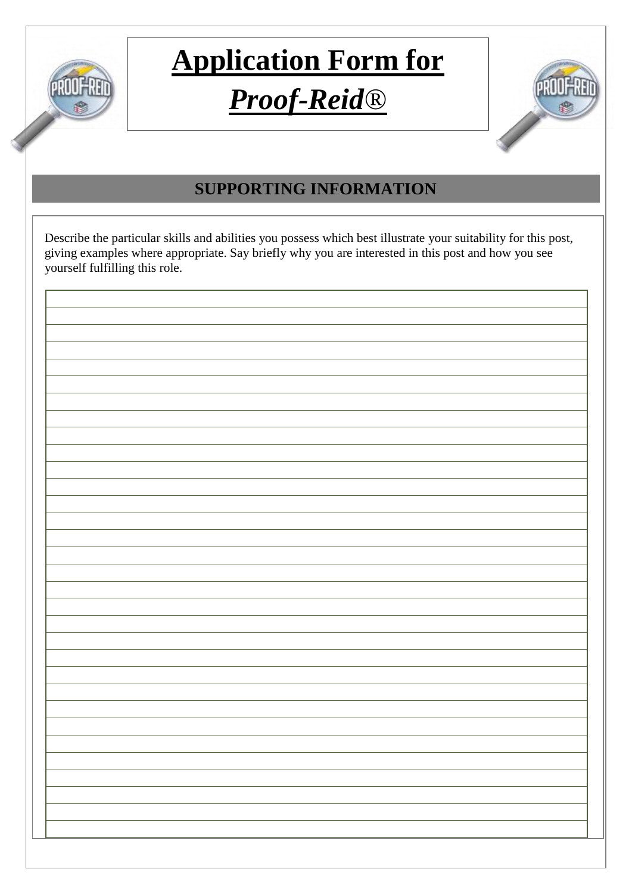

### *Proof-Reid®*



### **SUPPORTING INFORMATION**

Describe the particular skills and abilities you possess which best illustrate your suitability for this post, giving examples where appropriate. Say briefly why you are interested in this post and how you see yourself fulfilling this role.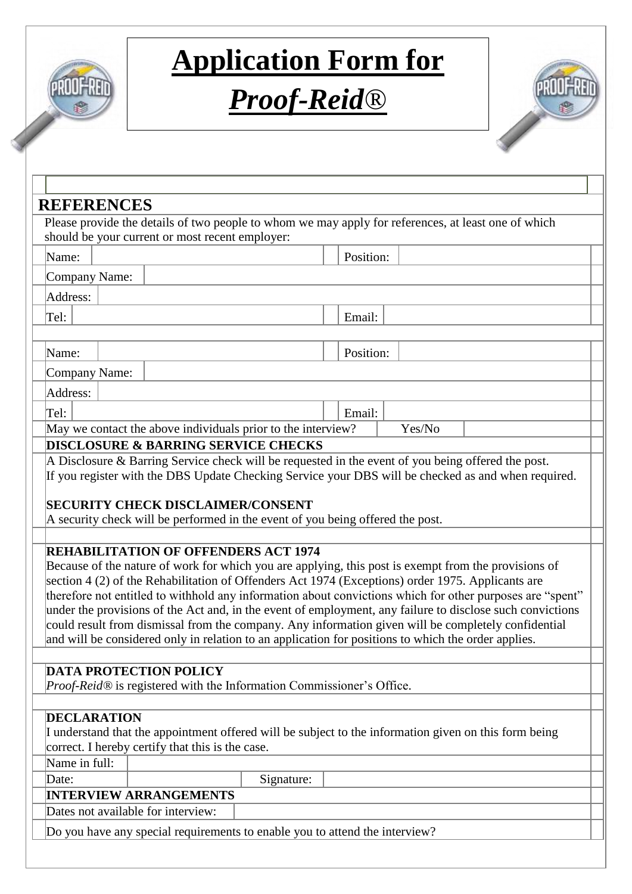

## *Proof-Reid®*



| <b>REFERENCES</b>                            |                                                                                                                                                         |            |           |        |                                                                                                           |
|----------------------------------------------|---------------------------------------------------------------------------------------------------------------------------------------------------------|------------|-----------|--------|-----------------------------------------------------------------------------------------------------------|
|                                              | Please provide the details of two people to whom we may apply for references, at least one of which                                                     |            |           |        |                                                                                                           |
|                                              | should be your current or most recent employer:                                                                                                         |            |           |        |                                                                                                           |
| Name:                                        |                                                                                                                                                         |            | Position: |        |                                                                                                           |
| Company Name:                                |                                                                                                                                                         |            |           |        |                                                                                                           |
| Address:                                     |                                                                                                                                                         |            |           |        |                                                                                                           |
| Tel:                                         |                                                                                                                                                         |            | Email:    |        |                                                                                                           |
|                                              |                                                                                                                                                         |            |           |        |                                                                                                           |
| Name:                                        |                                                                                                                                                         |            | Position: |        |                                                                                                           |
|                                              |                                                                                                                                                         |            |           |        |                                                                                                           |
| Company Name:                                |                                                                                                                                                         |            |           |        |                                                                                                           |
| Address:                                     |                                                                                                                                                         |            |           |        |                                                                                                           |
| Tel:                                         |                                                                                                                                                         |            | Email:    |        |                                                                                                           |
|                                              | May we contact the above individuals prior to the interview?                                                                                            |            |           | Yes/No |                                                                                                           |
|                                              | <b>DISCLOSURE &amp; BARRING SERVICE CHECKS</b><br>A Disclosure $\&$ Barring Service check will be requested in the event of you being offered the post. |            |           |        |                                                                                                           |
|                                              | <b>REHABILITATION OF OFFENDERS ACT 1974</b>                                                                                                             |            |           |        |                                                                                                           |
|                                              |                                                                                                                                                         |            |           |        |                                                                                                           |
|                                              | Because of the nature of work for which you are applying, this post is exempt from the provisions of                                                    |            |           |        |                                                                                                           |
|                                              | section 4 (2) of the Rehabilitation of Offenders Act 1974 (Exceptions) order 1975. Applicants are                                                       |            |           |        |                                                                                                           |
|                                              |                                                                                                                                                         |            |           |        | under the provisions of the Act and, in the event of employment, any failure to disclose such convictions |
|                                              | and will be considered only in relation to an application for positions to which the order applies.                                                     |            |           |        | could result from dismissal from the company. Any information given will be completely confidential       |
|                                              |                                                                                                                                                         |            |           |        |                                                                                                           |
|                                              | <b>DATA PROTECTION POLICY</b>                                                                                                                           |            |           |        |                                                                                                           |
|                                              | <i>Proof-Reid®</i> is registered with the Information Commissioner's Office.                                                                            |            |           |        |                                                                                                           |
|                                              |                                                                                                                                                         |            |           |        |                                                                                                           |
|                                              |                                                                                                                                                         |            |           |        |                                                                                                           |
|                                              | I understand that the appointment offered will be subject to the information given on this form being                                                   |            |           |        |                                                                                                           |
|                                              | correct. I hereby certify that this is the case.                                                                                                        |            |           |        |                                                                                                           |
|                                              |                                                                                                                                                         | Signature: |           |        |                                                                                                           |
|                                              | <b>INTERVIEW ARRANGEMENTS</b>                                                                                                                           |            |           |        | therefore not entitled to withhold any information about convictions which for other purposes are "spent" |
| <b>DECLARATION</b><br>Name in full:<br>Date: | Dates not available for interview:                                                                                                                      |            |           |        |                                                                                                           |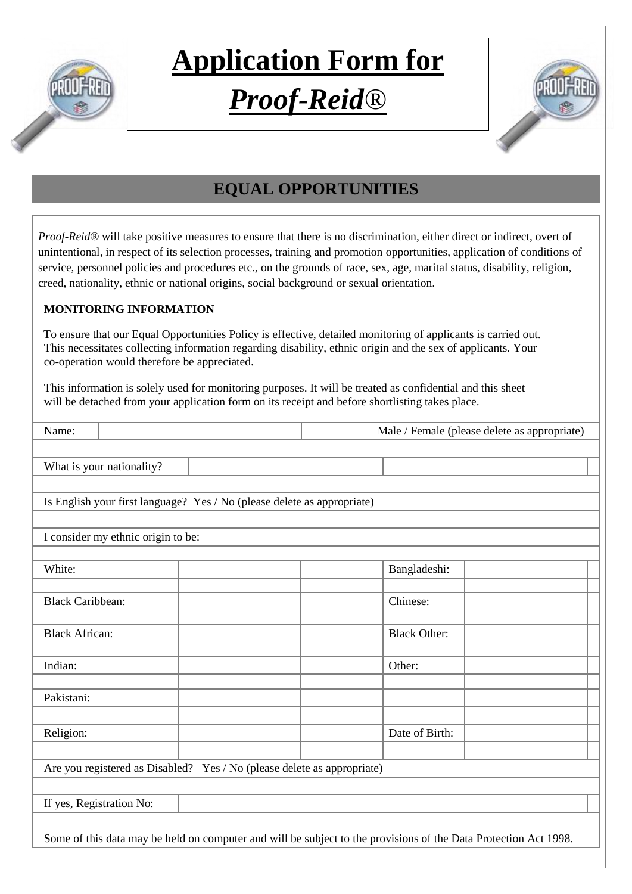

### *Proof-Reid®*



### **EQUAL OPPORTUNITIES**

*Proof-Reid®* will take positive measures to ensure that there is no discrimination, either direct or indirect, overt of unintentional, in respect of its selection processes, training and promotion opportunities, application of conditions of service, personnel policies and procedures etc., on the grounds of race, sex, age, marital status, disability, religion, creed, nationality, ethnic or national origins, social background or sexual orientation.

#### **MONITORING INFORMATION**

 To ensure that our Equal Opportunities Policy is effective, detailed monitoring of applicants is carried out. This necessitates collecting information regarding disability, ethnic origin and the sex of applicants. Your co-operation would therefore be appreciated.

 This information is solely used for monitoring purposes. It will be treated as confidential and this sheet will be detached from your application form on its receipt and before shortlisting takes place.

| Name:                                                                                                            |                           |                                                                         |  |                     | Male / Female (please delete as appropriate) |  |
|------------------------------------------------------------------------------------------------------------------|---------------------------|-------------------------------------------------------------------------|--|---------------------|----------------------------------------------|--|
|                                                                                                                  |                           |                                                                         |  |                     |                                              |  |
|                                                                                                                  | What is your nationality? |                                                                         |  |                     |                                              |  |
|                                                                                                                  |                           |                                                                         |  |                     |                                              |  |
| Is English your first language? Yes / No (please delete as appropriate)                                          |                           |                                                                         |  |                     |                                              |  |
|                                                                                                                  |                           |                                                                         |  |                     |                                              |  |
| I consider my ethnic origin to be:                                                                               |                           |                                                                         |  |                     |                                              |  |
|                                                                                                                  |                           |                                                                         |  |                     |                                              |  |
| White:                                                                                                           |                           |                                                                         |  | Bangladeshi:        |                                              |  |
|                                                                                                                  |                           |                                                                         |  |                     |                                              |  |
| <b>Black Caribbean:</b>                                                                                          |                           |                                                                         |  | Chinese:            |                                              |  |
| <b>Black African:</b>                                                                                            |                           |                                                                         |  | <b>Black Other:</b> |                                              |  |
|                                                                                                                  |                           |                                                                         |  |                     |                                              |  |
| Indian:                                                                                                          |                           |                                                                         |  | Other:              |                                              |  |
|                                                                                                                  |                           |                                                                         |  |                     |                                              |  |
| Pakistani:                                                                                                       |                           |                                                                         |  |                     |                                              |  |
|                                                                                                                  |                           |                                                                         |  |                     |                                              |  |
| Religion:                                                                                                        |                           |                                                                         |  | Date of Birth:      |                                              |  |
|                                                                                                                  |                           |                                                                         |  |                     |                                              |  |
|                                                                                                                  |                           | Are you registered as Disabled? Yes / No (please delete as appropriate) |  |                     |                                              |  |
|                                                                                                                  |                           |                                                                         |  |                     |                                              |  |
| If yes, Registration No:                                                                                         |                           |                                                                         |  |                     |                                              |  |
|                                                                                                                  |                           |                                                                         |  |                     |                                              |  |
| Some of this data may be held on computer and will be subject to the provisions of the Data Protection Act 1998. |                           |                                                                         |  |                     |                                              |  |
|                                                                                                                  |                           |                                                                         |  |                     |                                              |  |